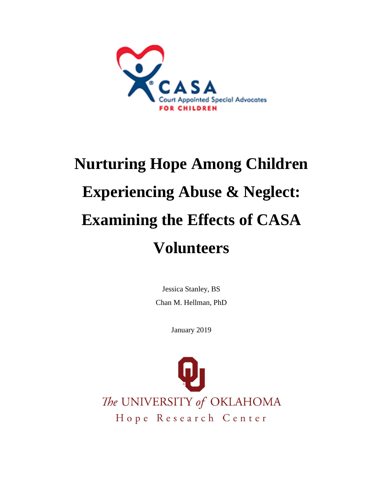

# **Nurturing Hope Among Children Experiencing Abuse & Neglect: Examining the Effects of CASA Volunteers**

Jessica Stanley, BS Chan M. Hellman, PhD

January 2019

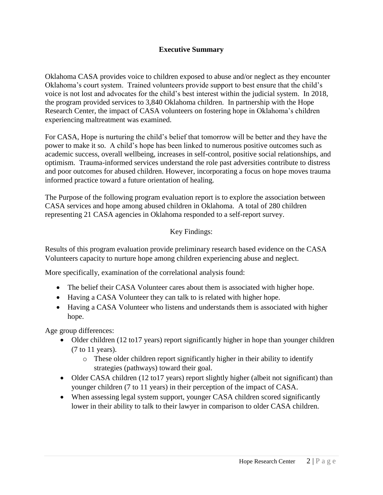## **Executive Summary**

Oklahoma CASA provides voice to children exposed to abuse and/or neglect as they encounter Oklahoma's court system. Trained volunteers provide support to best ensure that the child's voice is not lost and advocates for the child's best interest within the judicial system. In 2018, the program provided services to 3,840 Oklahoma children. In partnership with the Hope Research Center, the impact of CASA volunteers on fostering hope in Oklahoma's children experiencing maltreatment was examined.

For CASA, Hope is nurturing the child's belief that tomorrow will be better and they have the power to make it so. A child's hope has been linked to numerous positive outcomes such as academic success, overall wellbeing, increases in self-control, positive social relationships, and optimism. Trauma-informed services understand the role past adversities contribute to distress and poor outcomes for abused children. However, incorporating a focus on hope moves trauma informed practice toward a future orientation of healing.

The Purpose of the following program evaluation report is to explore the association between CASA services and hope among abused children in Oklahoma. A total of 280 children representing 21 CASA agencies in Oklahoma responded to a self-report survey.

## Key Findings:

Results of this program evaluation provide preliminary research based evidence on the CASA Volunteers capacity to nurture hope among children experiencing abuse and neglect.

More specifically, examination of the correlational analysis found:

- The belief their CASA Volunteer cares about them is associated with higher hope.
- Having a CASA Volunteer they can talk to is related with higher hope.
- Having a CASA Volunteer who listens and understands them is associated with higher hope.

Age group differences:

- Older children (12 to 17 years) report significantly higher in hope than younger children (7 to 11 years).
	- o These older children report significantly higher in their ability to identify strategies (pathways) toward their goal.
- Older CASA children (12 to 17 years) report slightly higher (albeit not significant) than younger children (7 to 11 years) in their perception of the impact of CASA.
- When assessing legal system support, younger CASA children scored significantly lower in their ability to talk to their lawyer in comparison to older CASA children.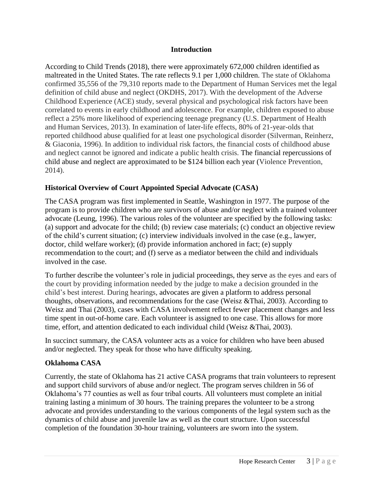#### **Introduction**

According to Child Trends (2018), there were approximately 672,000 children identified as maltreated in the United States. The rate reflects 9.1 per 1,000 children. The state of Oklahoma confirmed 35,556 of the 79,310 reports made to the Department of Human Services met the legal definition of child abuse and neglect (OKDHS, 2017). With the development of the Adverse Childhood Experience (ACE) study, several physical and psychological risk factors have been correlated to events in early childhood and adolescence. For example, children exposed to abuse reflect a 25% more likelihood of experiencing teenage pregnancy (U.S. Department of Health and Human Services, 2013). In examination of later-life effects, 80% of 21-year-olds that reported childhood abuse qualified for at least one psychological disorder (Silverman, Reinherz, & Giaconia, 1996). In addition to individual risk factors, the financial costs of childhood abuse and neglect cannot be ignored and indicate a public health crisis. The financial repercussions of child abuse and neglect are approximated to be \$124 billion each year (Violence Prevention, 2014).

# **Historical Overview of Court Appointed Special Advocate (CASA)**

The CASA program was first implemented in Seattle, Washington in 1977. The purpose of the program is to provide children who are survivors of abuse and/or neglect with a trained volunteer advocate (Leung, 1996). The various roles of the volunteer are specified by the following tasks: (a) support and advocate for the child; (b) review case materials; (c) conduct an objective review of the child's current situation; (c) interview individuals involved in the case (e.g., lawyer, doctor, child welfare worker); (d) provide information anchored in fact; (e) supply recommendation to the court; and (f) serve as a mediator between the child and individuals involved in the case.

To further describe the volunteer's role in judicial proceedings, they serve as the eyes and ears of the court by providing information needed by the judge to make a decision grounded in the child's best interest. During hearings, advocates are given a platform to address personal thoughts, observations, and recommendations for the case (Weisz &Thai, 2003). According to Weisz and Thai (2003), cases with CASA involvement reflect fewer placement changes and less time spent in out-of-home care. Each volunteer is assigned to one case. This allows for more time, effort, and attention dedicated to each individual child (Weisz &Thai, 2003).

In succinct summary, the CASA volunteer acts as a voice for children who have been abused and/or neglected. They speak for those who have difficulty speaking.

## **Oklahoma CASA**

Currently, the state of Oklahoma has 21 active CASA programs that train volunteers to represent and support child survivors of abuse and/or neglect. The program serves children in 56 of Oklahoma's 77 counties as well as four tribal courts. All volunteers must complete an initial training lasting a minimum of 30 hours. The training prepares the volunteer to be a strong advocate and provides understanding to the various components of the legal system such as the dynamics of child abuse and juvenile law as well as the court structure. Upon successful completion of the foundation 30-hour training, volunteers are sworn into the system.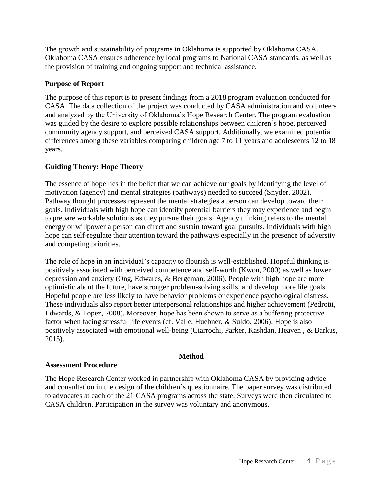The growth and sustainability of programs in Oklahoma is supported by Oklahoma CASA. Oklahoma CASA ensures adherence by local programs to National CASA standards, as well as the provision of training and ongoing support and technical assistance.

# **Purpose of Report**

The purpose of this report is to present findings from a 2018 program evaluation conducted for CASA. The data collection of the project was conducted by CASA administration and volunteers and analyzed by the University of Oklahoma's Hope Research Center. The program evaluation was guided by the desire to explore possible relationships between children's hope, perceived community agency support, and perceived CASA support. Additionally, we examined potential differences among these variables comparing children age 7 to 11 years and adolescents 12 to 18 years.

# **Guiding Theory: Hope Theory**

The essence of hope lies in the belief that we can achieve our goals by identifying the level of motivation (agency) and mental strategies (pathways) needed to succeed (Snyder, 2002). Pathway thought processes represent the mental strategies a person can develop toward their goals. Individuals with high hope can identify potential barriers they may experience and begin to prepare workable solutions as they pursue their goals. Agency thinking refers to the mental energy or willpower a person can direct and sustain toward goal pursuits. Individuals with high hope can self-regulate their attention toward the pathways especially in the presence of adversity and competing priorities.

The role of hope in an individual's capacity to flourish is well-established. Hopeful thinking is positively associated with perceived competence and self-worth (Kwon, 2000) as well as lower depression and anxiety (Ong, Edwards, & Bergeman, 2006). People with high hope are more optimistic about the future, have stronger problem-solving skills, and develop more life goals. Hopeful people are less likely to have behavior problems or experience psychological distress. These individuals also report better interpersonal relationships and higher achievement (Pedrotti, Edwards, & Lopez, 2008). Moreover, hope has been shown to serve as a buffering protective factor when facing stressful life events (cf. Valle, Huebner, & Suldo, 2006). Hope is also positively associated with emotional well-being (Ciarrochi, Parker, Kashdan, Heaven , & Barkus, 2015).

## **Method**

#### **Assessment Procedure**

The Hope Research Center worked in partnership with Oklahoma CASA by providing advice and consultation in the design of the children's questionnaire. The paper survey was distributed to advocates at each of the 21 CASA programs across the state. Surveys were then circulated to CASA children. Participation in the survey was voluntary and anonymous.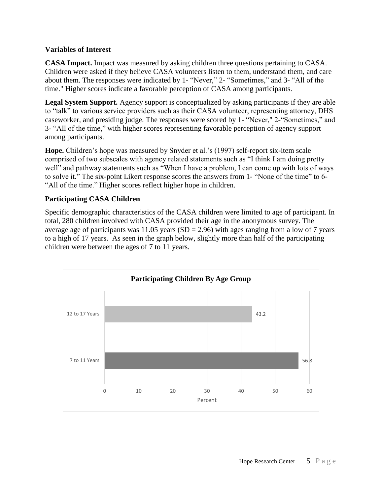#### **Variables of Interest**

**CASA Impact.** Impact was measured by asking children three questions pertaining to CASA. Children were asked if they believe CASA volunteers listen to them, understand them, and care about them. The responses were indicated by 1- "Never," 2- "Sometimes," and 3- "All of the time." Higher scores indicate a favorable perception of CASA among participants.

**Legal System Support.** Agency support is conceptualized by asking participants if they are able to "talk" to various service providers such as their CASA volunteer, representing attorney, DHS caseworker, and presiding judge. The responses were scored by 1- "Never," 2-"Sometimes," and 3- "All of the time," with higher scores representing favorable perception of agency support among participants.

**Hope.** Children's hope was measured by Snyder et al.'s (1997) self-report six-item scale comprised of two subscales with agency related statements such as "I think I am doing pretty well" and pathway statements such as "When I have a problem, I can come up with lots of ways to solve it." The six-point Likert response scores the answers from 1- "None of the time" to 6- "All of the time." Higher scores reflect higher hope in children.

# **Participating CASA Children**

Specific demographic characteristics of the CASA children were limited to age of participant. In total, 280 children involved with CASA provided their age in the anonymous survey. The average age of participants was  $11.05$  years (SD = 2.96) with ages ranging from a low of 7 years to a high of 17 years. As seen in the graph below, slightly more than half of the participating children were between the ages of 7 to 11 years.

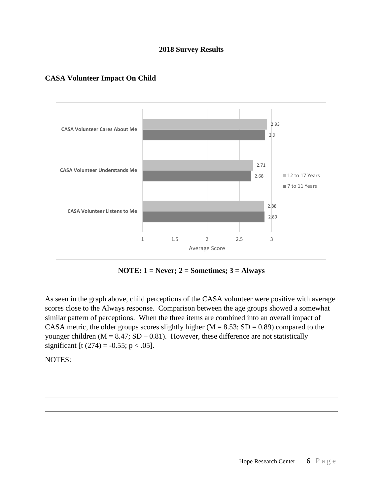#### **2018 Survey Results**



#### **CASA Volunteer Impact On Child**

**NOTE: 1 = Never; 2 = Sometimes; 3 = Always**

As seen in the graph above, child perceptions of the CASA volunteer were positive with average scores close to the Always response. Comparison between the age groups showed a somewhat similar pattern of perceptions. When the three items are combined into an overall impact of CASA metric, the older groups scores slightly higher ( $M = 8.53$ ; SD = 0.89) compared to the younger children ( $M = 8.47$ ; SD – 0.81). However, these difference are not statistically significant [t (274) = -0.55; p < .05].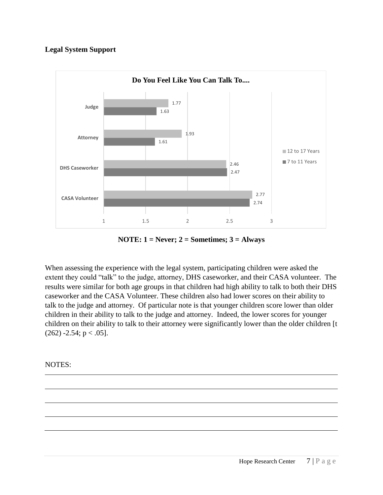#### **Legal System Support**



**NOTE: 1 = Never; 2 = Sometimes; 3 = Always**

When assessing the experience with the legal system, participating children were asked the extent they could "talk" to the judge, attorney, DHS caseworker, and their CASA volunteer. The results were similar for both age groups in that children had high ability to talk to both their DHS caseworker and the CASA Volunteer. These children also had lower scores on their ability to talk to the judge and attorney. Of particular note is that younger children score lower than older children in their ability to talk to the judge and attorney. Indeed, the lower scores for younger children on their ability to talk to their attorney were significantly lower than the older children [t  $(262)$  -2.54;  $p < .05$ ].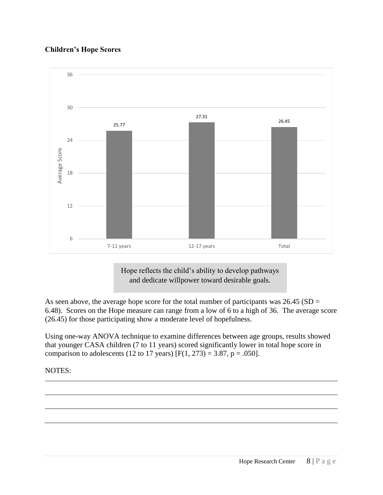# **Children's Hope Scores**



Hope reflects the child's ability to develop pathways and dedicate willpower toward desirable goals.

As seen above, the average hope score for the total number of participants was  $26.45$  (SD = 6.48). Scores on the Hope measure can range from a low of 6 to a high of 36. The average score (26.45) for those participating show a moderate level of hopefulness.

Using one-way ANOVA technique to examine differences between age groups, results showed that younger CASA children (7 to 11 years) scored significantly lower in total hope score in comparison to adolescents (12 to 17 years)  $[F(1, 273) = 3.87, p = .050]$ .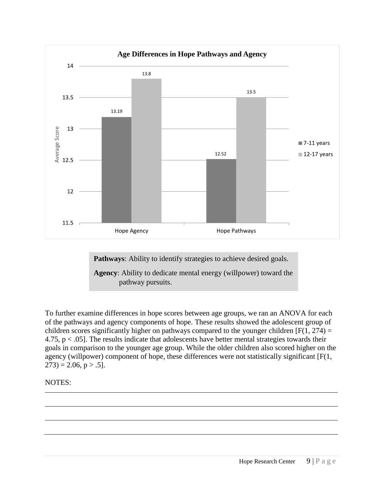

**Pathways:** Ability to identify strategies to achieve desired goals.

**Agency**: Ability to dedicate mental energy (willpower) toward the pathway pursuits.

To further examine differences in hope scores between age groups, we ran an ANOVA for each of the pathways and agency components of hope. These results showed the adolescent group of children scores significantly higher on pathways compared to the younger children  $[F(1, 274) =$ 4.75,  $p < .05$ ]. The results indicate that adolescents have better mental strategies towards their goals in comparison to the younger age group. While the older children also scored higher on the agency (willpower) component of hope, these differences were not statistically significant [F(1,  $273$ ) = 2.06, p > .5].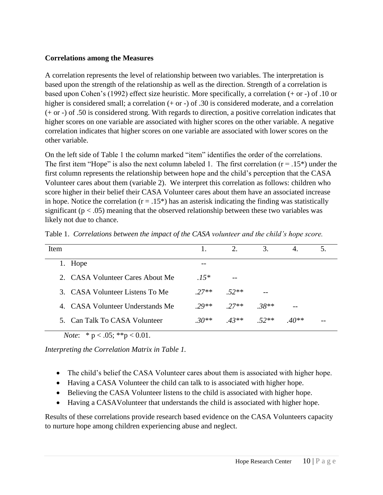#### **Correlations among the Measures**

A correlation represents the level of relationship between two variables. The interpretation is based upon the strength of the relationship as well as the direction. Strength of a correlation is based upon Cohen's (1992) effect size heuristic. More specifically, a correlation (+ or -) of .10 or higher is considered small; a correlation (+ or -) of .30 is considered moderate, and a correlation (+ or -) of .50 is considered strong. With regards to direction, a positive correlation indicates that higher scores on one variable are associated with higher scores on the other variable. A negative correlation indicates that higher scores on one variable are associated with lower scores on the other variable.

On the left side of Table 1 the column marked "item" identifies the order of the correlations. The first item "Hope" is also the next column labeled 1. The first correlation  $(r = .15*)$  under the first column represents the relationship between hope and the child's perception that the CASA Volunteer cares about them (variable 2). We interpret this correlation as follows: children who score higher in their belief their CASA Volunteer cares about them have an associated increase in hope. Notice the correlation  $(r = .15^*)$  has an asterisk indicating the finding was statistically significant ( $p < .05$ ) meaning that the observed relationship between these two variables was likely not due to chance.

| Item                                        |         | 2.      | 3.      | 4.      |  |
|---------------------------------------------|---------|---------|---------|---------|--|
| 1. Hope                                     | --      |         |         |         |  |
| 2. CASA Volunteer Cares About Me            | $.15*$  |         |         |         |  |
| 3. CASA Volunteer Listens To Me             | $27**$  | $.52**$ |         |         |  |
| 4. CASA Volunteer Understands Me            | $20**$  | $27**$  | $.38**$ |         |  |
| 5. Can Talk To CASA Volunteer               | $.30**$ | $43**$  | $52**$  | $.40**$ |  |
| <i>Note</i> : * $p < .05$ ; ** $p < 0.01$ . |         |         |         |         |  |

Table 1. *Correlations between the impact of the CASA volunteer and the child's hope score.*

*Interpreting the Correlation Matrix in Table 1.*

- The child's belief the CASA Volunteer cares about them is associated with higher hope.
- Having a CASA Volunteer the child can talk to is associated with higher hope.
- Believing the CASA Volunteer listens to the child is associated with higher hope.
- Having a CASAVolunteer that understands the child is associated with higher hope.

Results of these correlations provide research based evidence on the CASA Volunteers capacity to nurture hope among children experiencing abuse and neglect.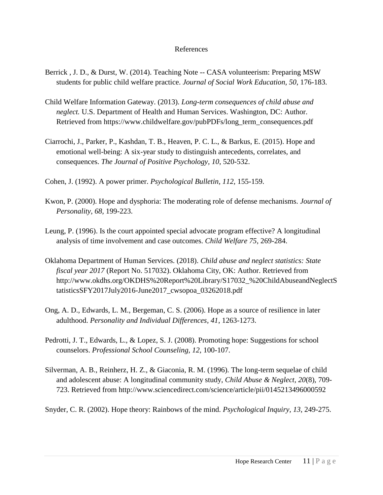#### References

- Berrick , J. D., & Durst, W. (2014). Teaching Note -- CASA volunteerism: Preparing MSW students for public child welfare practice. *Journal of Social Work Education, 50*, 176-183.
- Child Welfare Information Gateway. (2013). *Long-term consequences of child abuse and neglect.* U.S. Department of Health and Human Services. Washington, DC: Author. Retrieved from https://www.childwelfare.gov/pubPDFs/long\_term\_consequences.pdf
- Ciarrochi, J., Parker, P., Kashdan, T. B., Heaven, P. C. L., & Barkus, E. (2015). Hope and emotional well-being: A six-year study to distinguish antecedents, correlates, and consequences. *The Journal of Positive Psychology, 10*, 520-532.
- Cohen, J. (1992). A power primer. *Psychological Bulletin, 112,* 155-159.
- Kwon, P. (2000). Hope and dysphoria: The moderating role of defense mechanisms. *Journal of Personality, 68,* 199-223.
- Leung, P. (1996). Is the court appointed special advocate program effective? A longitudinal analysis of time involvement and case outcomes. *Child Welfare 75,* 269-284.
- Oklahoma Department of Human Services. (2018). *Child abuse and neglect statistics: State fiscal year 2017* (Report No. 517032). Oklahoma City, OK: Author. Retrieved from http://www.okdhs.org/OKDHS%20Report%20Library/S17032\_%20ChildAbuseandNeglectS tatisticsSFY2017July2016-June2017\_cwsopoa\_03262018.pdf
- Ong, A. D., Edwards, L. M., Bergeman, C. S. (2006). Hope as a source of resilience in later adulthood. *Personality and Individual Differences, 41*, 1263-1273.
- Pedrotti, J. T., Edwards, L., & Lopez, S. J. (2008). Promoting hope: Suggestions for school counselors. *Professional School Counseling, 12,* 100-107.
- Silverman, A. B., Reinherz, H. Z., & Giaconia, R. M. (1996). The long-term sequelae of child and adolescent abuse: A longitudinal community study, *Child Abuse & Neglect, 20*(8)*,* 709- 723. Retrieved from http://www.sciencedirect.com/science/article/pii/0145213496000592
- Snyder, C. R. (2002). Hope theory: Rainbows of the mind. *Psychological Inquiry, 13*, 249-275.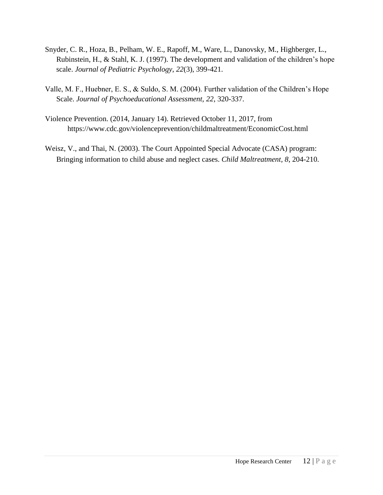- Snyder, C. R., Hoza, B., Pelham, W. E., Rapoff, M., Ware, L., Danovsky, M., Highberger, L., Rubinstein, H., & Stahl, K. J. (1997). The development and validation of the children's hope scale. *Journal of Pediatric Psychology*, *22*(3), 399-421.
- Valle, M. F., Huebner, E. S., & Suldo, S. M. (2004). Further validation of the Children's Hope Scale. *Journal of Psychoeducational Assessment, 22*, 320-337.
- Violence Prevention. (2014, January 14). Retrieved October 11, 2017, from https://www.cdc.gov/violenceprevention/childmaltreatment/EconomicCost.html
- Weisz, V., and Thai, N. (2003). The Court Appointed Special Advocate (CASA) program: Bringing information to child abuse and neglect cases. *Child Maltreatment, 8*, 204-210.